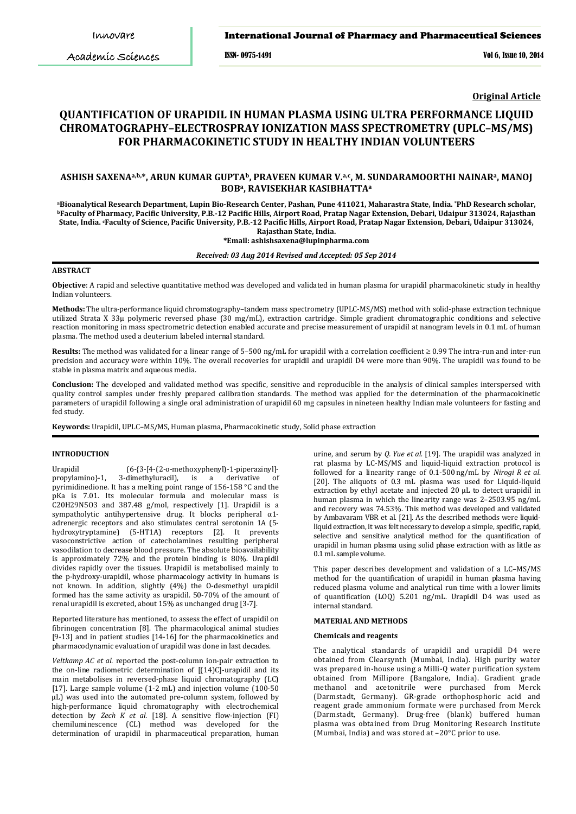Academic Sciences

# **Saxena** *et al.* International Journal of Pharmacy and Pharmaceutical Sciences

*Int J Pharm Pharm Sci, Vol 6, Issue 10, 565-570* ISSN- 0975-1491 Vol 6, Issue 10, 2014

**Original Article**

# **QUANTIFICATION OF URAPIDIL IN HUMAN PLASMA USING ULTRA PERFORMANCE LIQUID CHROMATOGRAPHY–ELECTROSPRAY IONIZATION MASS SPECTROMETRY (UPLC–MS/MS) FOR PHARMACOKINETIC STUDY IN HEALTHY INDIAN VOLUNTEERS**

# **ASHISH SAXENAa,b,** \***, ARUN KUMAR GUPTAb, PRAVEEN KUMAR V.a,c, M. SUNDARAMOORTHI NAINARa, MANOJ BOBa, RAVISEKHAR KASIBHATTAa**

ªBioanalytical Research Department, Lupin Bio-Research Center, Pashan, Pune 411021, Maharastra State, India. \*PhD Research scholar,<br>ʰFaculty of Pharmacy, Pacific University, P.B.-12 Pacific Hills, Airport Road, Pratap Naga **State, India. cFaculty of Science, Pacific University, P.B.-12 Pacific Hills, Airport Road, Pratap Nagar Extension, Debari, Udaipur 313024, Rajasthan State, India.**

#### **\*Email[: ashishsaxena@lupinpharma.com](mailto:ashishsaxena@lupinpharma.com)**

#### *Received: 03 Aug 2014 Revised and Accepted: 05 Sep 2014*

#### **ABSTRACT**

**Objective**: A rapid and selective quantitative method was developed and validated in human plasma for urapidil pharmacokinetic study in healthy Indian volunteers.

**Methods:** The ultra-performance liquid chromatography–tandem mass spectrometry (UPLC-MS/MS) method with solid-phase extraction technique utilized Strata X 33µ polymeric reversed phase (30 mg/mL), extraction cartridge. Simple gradient chromatographic conditions and selective reaction monitoring in mass spectrometric detection enabled accurate and precise measurement of urapidil at nanogram levels in 0.1 mL of human plasma. The method used a deuterium labeled internal standard.

**Results:** The method was validated for a linear range of 5–500 ng/mL for urapidil with a correlation coefficient ≥ 0.99 The intra-run and inter-run precision and accuracy were within 10%. The overall recoveries for urapidil and urapidil D4 were more than 90%. The urapidil was found to be stable in plasma matrix and aqueous media.

**Conclusion:** The developed and validated method was specific, sensitive and reproducible in the analysis of clinical samples interspersed with quality control samples under freshly prepared calibration standards. The method was applied for the determination of the pharmacokinetic parameters of urapidil following a single oral administration of urapidil 60 mg capsules in nineteen healthy Indian male volunteers for fasting and fed study.

**Keywords:** Urapidil, UPLC–MS/MS, Human plasma, Pharmacokinetic study, Solid phase extraction

#### **INTRODUCTION**

Urapidil  $(6-\{3-[4-(2-o-methoxyphenyl]-1-piperaziny]]-$ propylamino}-1, 3-dimethyluracil), is a derivative of propylamino}-1, 3-dimethyluracil), is a derivative of pyrimidinedione. It has a melting point range of 156-158 °C and the pKa is 7.01. Its molecular formula and molecular mass is C20H29N5O3 and 387.48 g/mol, respectively [1]. Urapidil is a [sympatholytic](http://en.wikipedia.org/wiki/Sympatholytic) [antihypertensive](http://en.wikipedia.org/wiki/Antihypertensive) [drug.](http://en.wikipedia.org/wiki/Drug) It blocks peripheral [α1](http://en.wikipedia.org/wiki/Alpha-1_adrenoceptor) [adrene](http://en.wikipedia.org/wiki/Alpha-1_adrenoceptor)rgic [receptors](http://en.wikipedia.org/wiki/Receptor_antagonist) and also stimulates central serotonin 1A (5 hydroxytryptamine) [\(5-HT1A\) receptors](http://en.wikipedia.org/wiki/5-HT1A_receptor) [2]. It prevents vasoconstrictive action of catecholamines resulting peripheral vasodilation to decrease blood pressure. The absolute bioavailability is approximately 72% and the protein binding is 80%. Urapidil divides rapidly over the tissues. Urapidil is metabolised mainly to the p-hydroxy-urapidil, whose pharmacology activity in humans is not known. In addition, slightly (4%) the O-desmethyl urapidil formed has the same activity as urapidil. 50-70% of the amount of renal urapidil is excreted, about 15% as unchanged drug [3-7].

Reported literature has mentioned, to assess the effect of urapidil on fibrinogen concentration [8]. The pharmacological animal studies [9-13] and in patient studies [14-16] for the pharmacokinetics and pharmacodynamic evaluation of urapidil was done in last decades.

*Veltkamp AC et al.* reported the post-column ion-pair extraction to the on-line radiometric determination of [(14)C]-urapidil and its main metabolises in reversed-phase liquid chromatography (LC) [17]. Large sample volume (1-2 mL) and injection volume (100-50 µL) was used into the automated pre-column system, followed by high-performance liquid chromatography with electrochemical detection by *[Zech K](http://www.ncbi.nlm.nih.gov/pubmed?term=Zech%20K%5BAuthor%5D&cauthor=true&cauthor_uid=3700520) et al.* [18]. A sensitive flow-injection (FI) chemiluminescence (CL) method was developed for the determination of urapidil in pharmaceutical preparation, human

urine, and serum by *Q. Yue et al.* [19]. The urapidil was analyzed in rat plasma by LC-MS/MS and liquid-liquid extraction protocol is followed for a linearity range of 0.1-500 ng/mL by *[Nirogi R](http://www.ncbi.nlm.nih.gov/pubmed?term=Nirogi%20R%5BAuthor%5D&cauthor=true&cauthor_uid=21308707) et al*. [20]. The aliquots of 0.3 mL plasma was used for Liquid-liquid extraction by ethyl acetate and injected 20 µL to detect urapidil in human plasma in which the linearity range was 2–2503.95 ng/mL and recovery was 74.53%. This method was developed and validated by Ambavaram VBR et al. [21]. As the described methods were liquidliquid extraction, it was felt necessary to develop a simple, specific, rapid, selective and sensitive analytical method for the quantification of urapidil in human plasma using solid phase extraction with as little as 0.1 mL sample volume.

This paper describes development and validation of a LC–MS/MS method for the quantification of urapidil in human plasma having reduced plasma volume and analytical run time with a lower limits of quantification (LOQ) 5.201 ng/mL. Urapidil D4 was used as internal standard.

#### **MATERIAL AND METHODS**

#### **Chemicals and reagents**

The analytical standards of urapidil and urapidil D4 were obtained from Clearsynth (Mumbai, India). High purity water was prepared in-house using a Milli-Q water purification system obtained from Millipore (Bangalore, India). Gradient grade methanol and acetonitrile were purchased from Merck (Darmstadt, Germany). GR-grade orthophosphoric acid and reagent grade ammonium formate were purchased from Merck (Darmstadt, Germany). Drug-free (blank) buffered human plasma was obtained from Drug Monitoring Research Institute (Mumbai, India) and was stored at –20°C prior to use.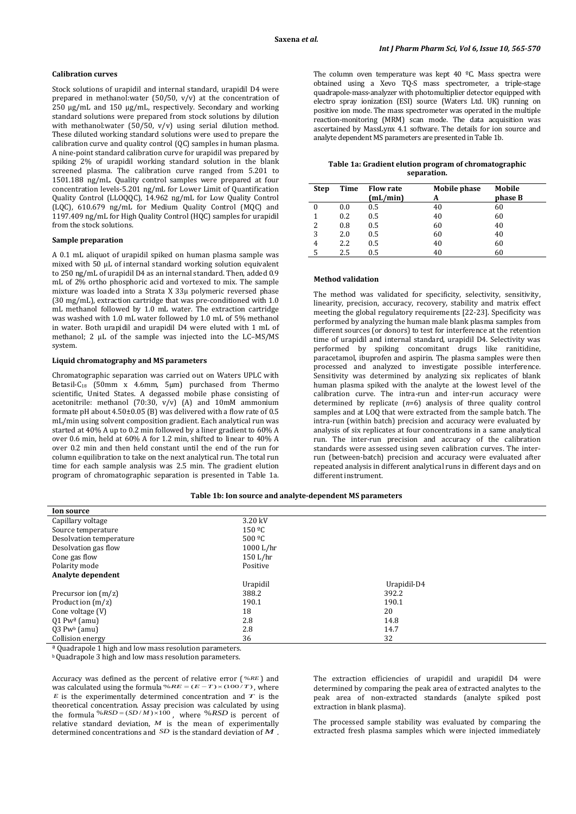#### **Calibration curves**

Stock solutions of urapidil and internal standard, urapidil D4 were prepared in methanol:water (50/50, v/v) at the concentration of 250 µg/mL and 150 µg/mL, respectively. Secondary and working standard solutions were prepared from stock solutions by dilution with methanol:water  $(50/50, v/v)$  using serial dilution method. These diluted working standard solutions were used to prepare the calibration curve and quality control (QC) samples in human plasma. A nine-point standard calibration curve for urapidil was prepared by spiking 2% of urapidil working standard solution in the blank screened plasma. The calibration curve ranged from 5.201 to 1501.188 ng/mL. Quality control samples were prepared at four concentration levels-5.201 ng/mL for Lower Limit of Quantification Quality Control (LLOQQC), 14.962 ng/mL for Low Quality Control (LQC), 610.679 ng/mL for Medium Quality Control (MQC) and 1197.409 ng/mL for High Quality Control (HQC) samples for urapidil from the stock solutions.

#### **Sample preparation**

A 0.1 mL aliquot of urapidil spiked on human plasma sample was mixed with 50 µL of internal standard working solution equivalent to 250 ng/mL of urapidil D4 as an internal standard. Then, added 0.9 mL of 2% ortho phosphoric acid and vortexed to mix. The sample mixture was loaded into a Strata X 33µ polymeric reversed phase (30 mg/mL), extraction cartridge that was pre-conditioned with 1.0 mL methanol followed by 1.0 mL water. The extraction cartridge was washed with 1.0 mL water followed by 1.0 mL of 5% methanol in water. Both urapidil and urapidil D4 were eluted with 1 mL of methanol; 2  $\mu$ L of the sample was injected into the LC–MS/MS system.

### **Liquid chromatography and MS parameters**

Chromatographic separation was carried out on Waters UPLC with Betasil-C18 (50mm x 4.6mm, 5µm) purchased from Thermo scientific, United States. A degassed mobile phase consisting of acetonitrile: methanol (70:30, v/v) (A) and 10mM ammonium formate pH about 4.50±0.05 (B) was delivered with a flow rate of 0.5 mL/min using solvent composition gradient. Each analytical run was started at 40% A up to 0.2 min followed by a liner gradient to 60% A over 0.6 min, held at 60% A for 1.2 min, shifted to linear to 40% A over 0.2 min and then held constant until the end of the run for column equilibration to take on the next analytical run. The total run time for each sample analysis was 2.5 min. The gradient elution program of chromatographic separation is presented in Table 1a.

The column oven temperature was kept  $40^{\circ}$ C. Mass spectra were obtained using a Xevo TQ-S mass spectrometer, a triple-stage quadrapole-mass-analyzer with photomultiplier detector equipped with electro spray ionization (ESI) source (Waters Ltd. UK) running on positive ion mode. The mass spectrometer was operated in the multiple reaction-monitoring (MRM) scan mode. The data acquisition was ascertained by MassLynx 4.1 software. The details for ion source and analyte dependent MS parameters are presented in Table 1b.

| Table 1a: Gradient elution program of chromatographic |
|-------------------------------------------------------|
| separation.                                           |

| <b>Step</b> | Time | <b>Flow rate</b><br>(mL/min) | Mobile phase<br>A | Mobile<br>phase B |
|-------------|------|------------------------------|-------------------|-------------------|
| 0           | 0.0  | 0.5                          | 40                | 60                |
|             | 0.2  | 0.5                          | 40                | 60                |
| 2           | 0.8  | 0.5                          | 60                | 40                |
| 3           | 2.0  | 0.5                          | 60                | 40                |
| 4           | 2.2  | 0.5                          | 40                | 60                |
|             | 2.5  | 0.5                          | 40                | 60                |

## **Method validation**

The method was validated for specificity, selectivity, sensitivity, linearity, precision, accuracy, recovery, stability and matrix effect meeting the global regulatory requirements [22-23]. Specificity was performed by analyzing the human male blank plasma samples from different sources (or donors) to test for interference at the retention time of urapidil and internal standard, urapidil D4. Selectivity was performed by spiking concomitant drugs like ranitidine, paracetamol, ibuprofen and aspirin. The plasma samples were then processed and analyzed to investigate possible interference. Sensitivity was determined by analyzing six replicates of blank human plasma spiked with the analyte at the lowest level of the calibration curve. The intra-run and inter-run accuracy were determined by replicate (*n*=6) analysis of three quality control samples and at LOQ that were extracted from the sample batch. The intra-run (within batch) precision and accuracy were evaluated by analysis of six replicates at four concentrations in a same analytical run. The inter-run precision and accuracy of the calibration standards were assessed using seven calibration curves. The interrun (between-batch) precision and accuracy were evaluated after repeated analysis in different analytical runs in different days and on different instrument.

**Table 1b: Ion source and analyte-dependent MS parameters**

| <b>Ion source</b>          |                    |             |
|----------------------------|--------------------|-------------|
| Capillary voltage          | 3.20 kV            |             |
| Source temperature         | 150 <sup>o</sup> C |             |
| Desolvation temperature    | 500 <sup>o</sup> C |             |
| Desolvation gas flow       | 1000 L/hr          |             |
| Cone gas flow              | 150 L/hr           |             |
| Polarity mode              | Positive           |             |
| Analyte dependent          |                    |             |
|                            | Urapidil           | Urapidil-D4 |
| Precursor ion $(m/z)$      | 388.2              | 392.2       |
| Product ion $(m/z)$        | 190.1              | 190.1       |
| Cone voltage $(V)$         | 18                 | 20          |
| $Q1$ Pw <sup>a</sup> (amu) | 2.8                | 14.8        |
| $Q3$ Pwb (amu)             | 2.8                | 14.7        |
| Collision energy           | 36                 | 32          |

<sup>a</sup> Quadrapole 1 high and low mass resolution parameters.

**b** Quadrapole 3 high and low mass resolution parameters.

Accuracy was defined as the percent of relative error ( %*RE* ) and was calculated using the formula % $RE = (E - T) \times (100/T)$ , where *E* is the experimentally determined concentration and  $\overline{T}$  is the theoretical concentration. Assay precision was calculated by using the formula  $% RSD = (SD/M) \times 100$ , where  $% RSD$  is percent of relative standard deviation,  $M$  is the mean of experimentally determined concentrations and *SD* is the standard deviation of *M* .

The extraction efficiencies of urapidil and urapidil D4 were determined by comparing the peak area of extracted analytes to the peak area of non-extracted standards (analyte spiked post extraction in blank plasma).

The processed sample stability was evaluated by comparing the extracted fresh plasma samples which were injected immediately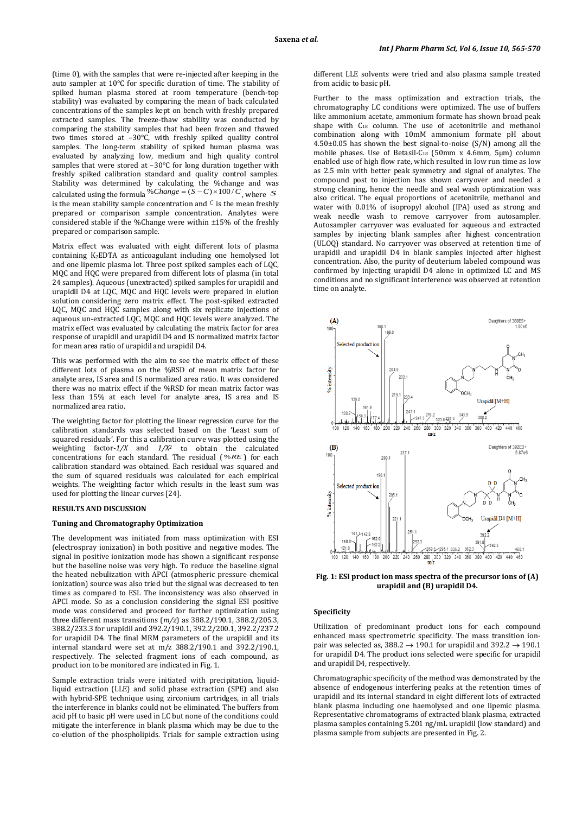(time 0), with the samples that were re-injected after keeping in the auto sampler at 10°C for specific duration of time. The stability of spiked human plasma stored at room temperature (bench-top stability) was evaluated by comparing the mean of back calculated concentrations of the samples kept on bench with freshly prepared extracted samples. The freeze-thaw stability was conducted by comparing the stability samples that had been frozen and thawed two times stored at –30°C, with freshly spiked quality control samples. The long-term stability of spiked human plasma was evaluated by analyzing low, medium and high quality control samples that were stored at -30°C for long duration together with freshly spiked calibration standard and quality control samples. Stability was determined by calculating the %change and was calculated using the formula %*Change* =  $(S - C) \times 100 / C$ , where *S* is the mean stability sample concentration and *<sup>C</sup>* is the mean freshly prepared or comparison sample concentration. Analytes were considered stable if the %Change were within ±15% of the freshly prepared or comparison sample.

Matrix effect was evaluated with eight different lots of plasma containing K2EDTA as anticoagulant including one hemolysed lot and one lipemic plasma lot. Three post spiked samples each of LQC, MQC and HQC were prepared from different lots of plasma (in total 24 samples). Aqueous (unextracted) spiked samples for urapidil and urapidil D4 at LQC, MQC and HQC levels were prepared in elution solution considering zero matrix effect. The post-spiked extracted LQC, MQC and HQC samples along with six replicate injections of aqueous un-extracted LQC, MQC and HQC levels were analyzed. The matrix effect was evaluated by calculating the matrix factor for area response of urapidil and urapidil D4 and IS normalized matrix factor for mean area ratio of urapidil and urapidil D4.

This was performed with the aim to see the matrix effect of these different lots of plasma on the %RSD of mean matrix factor for analyte area, IS area and IS normalized area ratio. It was considered there was no matrix effect if the %RSD for mean matrix factor was less than 15% at each level for analyte area, IS area and IS normalized area ratio.

The weighting factor for plotting the linear regression curve for the calibration standards was selected based on the 'Least sum of squared residuals'. For this a calibration curve was plotted using the weighting factor-*1/X* and *1/X2* to obtain the calculated concentrations for each standard. The residual ( %*RE* ) for each calibration standard was obtained. Each residual was squared and the sum of squared residuals was calculated for each empirical weights. The weighting factor which results in the least sum was used for plotting the linear curves [24].

# **RESULTS AND DISCUSSION**

### **Tuning and Chromatography Optimization**

The development was initiated from mass optimization with ESI (electrospray ionization) in both positive and negative modes. The signal in positive ionization mode has shown a significant response but the baseline noise was very high. To reduce the baseline signal the heated nebulization with APCI (atmospheric pressure chemical ionization) source was also tried but the signal was decreased to ten times as compared to ESI. The inconsistency was also observed in APCI mode. So as a conclusion considering the signal ESI positive mode was considered and proceed for further optimization using three different mass transitions (*m/z*) as 388.2/190.1, 388.2/205.3, 388.2/233.3 for urapidil and 392.2/190.1, 392.2/200.1, 392.2/237.2 for urapidil D4. The final MRM parameters of the urapidil and its internal standard were set at m/z 388.2/190.1 and 392.2/190.1, respectively. The selected fragment ions of each compound, as product ion to be monitored are indicated in Fig. 1.

Sample extraction trials were initiated with precipitation, liquidliquid extraction (LLE) and solid phase extraction (SPE) and also with hybrid-SPE technique using zirconium cartridges, in all trials the interference in blanks could not be eliminated. The buffers from acid pH to basic pH were used in LC but none of the conditions could mitigate the interference in blank plasma which may be due to the co-elution of the phospholipids. Trials for sample extraction using

different LLE solvents were tried and also plasma sample treated from acidic to basic pH.

Further to the mass optimization and extraction trials, the chromatography LC conditions were optimized. The use of buffers like ammonium acetate, ammonium formate has shown broad peak shape with C<sub>18</sub> column. The use of acetonitrile and methanol combination along with 10mM ammonium formate pH about 4.50±0.05 has shown the best signal-to-noise (S/N) among all the mobile phases. Use of Betasil-C<sub>18</sub> (50mm x 4.6mm, 5µm) column enabled use of high flow rate, which resulted in low run time as low as 2.5 min with better peak symmetry and signal of analytes. The compound post to injection has shown carryover and needed a strong cleaning, hence the needle and seal wash optimization was also critical. The equal proportions of acetonitrile, methanol and water with 0.01% of isopropyl alcohol (IPA) used as strong and weak needle wash to remove carryover from autosampler. Autosampler carryover was evaluated for aqueous and extracted samples by injecting blank samples after highest concentration (ULOQ) standard. No carryover was observed at retention time of urapidil and urapidil D4 in blank samples injected after highest concentration. Also, the purity of deuterium labeled compound was confirmed by injecting urapidil D4 alone in optimized LC and MS conditions and no significant interference was observed at retention time on analyte.



**Fig. 1: ESI product ion mass spectra of the precursor ions of (A) urapidil and (B) urapidil D4.**

# **Specificity**

Utilization of predominant product ions for each compound enhanced mass spectrometric specificity. The mass transition ionpair was selected as,  $388.2 \rightarrow 190.1$  for urapidil and  $392.2 \rightarrow 190.1$ for urapidil D4. The product ions selected were specific for urapidil and urapidil D4, respectively.

Chromatographic specificity of the method was demonstrated by the absence of endogenous interfering peaks at the retention times of urapidil and its internal standard in eight different lots of extracted blank plasma including one haemolysed and one lipemic plasma. Representative chromatograms of extracted blank plasma, extracted plasma samples containing 5.201 ng/mL urapidil (low standard) and plasma sample from subjects are presented in Fig. 2.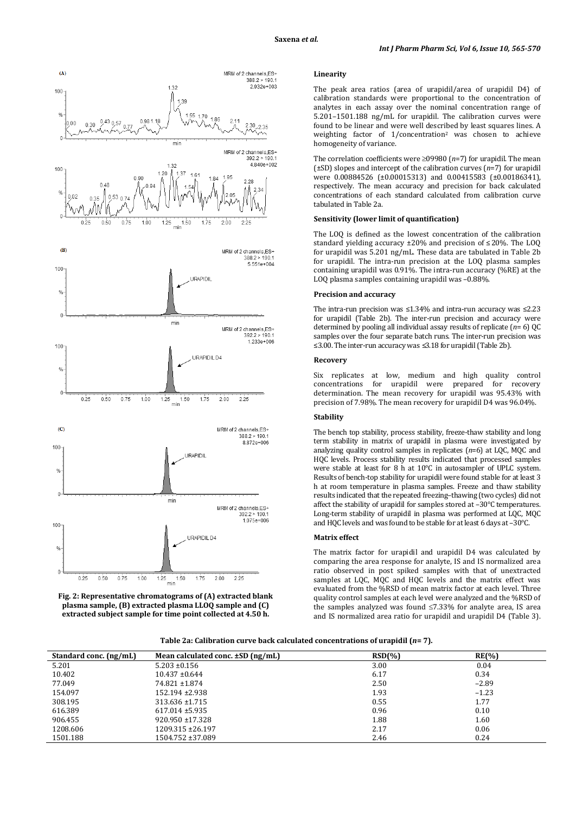



## **Linearity**

The peak area ratios (area of urapidil/area of urapidil D4) of calibration standards were proportional to the concentration of analytes in each assay over the nominal concentration range of 5.201–1501.188 ng/mL for urapidil. The calibration curves were found to be linear and were well described by least squares lines. A weighting factor of 1/concentration2 was chosen to achieve homogeneity of variance.

The correlation coefficients were ≥09980 (*n*=7) for urapidil. The mean (±SD) slopes and intercept of the calibration curves (*n*=7) for urapidil were 0.00884526 (±0.00015313) and 0.00415583 (±0.00186341), respectively. The mean accuracy and precision for back calculated concentrations of each standard calculated from calibration curve tabulated in Table 2a.

### **Sensitivity (lower limit of quantification)**

The LOQ is defined as the lowest concentration of the calibration standard yielding accuracy ±20% and precision of ≤20%. The LOQ for urapidil was 5.201 ng/mL. These data are tabulated in Table 2b for urapidil. The intra-run precision at the LOQ plasma samples containing urapidil was 0.91%. The intra-run accuracy (%RE) at the LOQ plasma samples containing urapidil was –0.88%.

#### **Precision and accuracy**

The intra-run precision was ≤1.34% and intra-run accuracy was ≤2.23 for urapidil (Table 2b). The inter-run precision and accuracy were determined by pooling all individual assay results of replicate (*n*= 6) QC samples over the four separate batch runs. The inter-run precision was ≤3.00. The inter-run accuracy was ≤3.18 for urapidil (Table 2b).

#### **Recovery**

Six replicates at low, medium and high quality control for urapidil were prepared for recovery determination. The mean recovery for urapidil was 95.43% with precision of 7.98%. The mean recovery for urapidil D4 was 96.04%.

### **Stability**

The bench top stability, process stability, freeze-thaw stability and long term stability in matrix of urapidil in plasma were investigated by analyzing quality control samples in replicates (*n*=6) at LQC, MQC and HQC levels. Process stability results indicated that processed samples were stable at least for 8 h at 10°C in autosampler of UPLC system. Results of bench-top stability for urapidil were found stable for at least 3 h at room temperature in plasma samples. Freeze and thaw stability results indicated that the repeated freezing–thawing (two cycles) did not affect the stability of urapidil for samples stored at –30°C temperatures. Long-term stability of urapidil in plasma was performed at LQC, MQC and HQC levels and was found to be stable for at least 6 days at –30°C.

## **Matrix effect**

The matrix factor for urapidil and urapidil D4 was calculated by comparing the area response for analyte, IS and IS normalized area ratio observed in post spiked samples with that of unextracted samples at LQC, MQC and HQC levels and the matrix effect was evaluated from the %RSD of mean matrix factor at each level. Three quality control samples at each level were analyzed and the %RSD of the samples analyzed was found ≤7.33% for analyte area, IS area and IS normalized area ratio for urapidil and urapidil D4 (Table 3).

| Table 2a: Calibration curve back calculated concentrations of urapidil ( $\emph{n}$ = 7). |  |  |
|-------------------------------------------------------------------------------------------|--|--|
|-------------------------------------------------------------------------------------------|--|--|

| Standard conc. (ng/mL) | Mean calculated conc. $\pm SD$ (ng/mL) | RSD(%) | $RE(\% )$ |
|------------------------|----------------------------------------|--------|-----------|
| 5.201                  | $5.203 \pm 0.156$                      | 3.00   | 0.04      |
| 10.402                 | $10.437 \pm 0.644$                     | 6.17   | 0.34      |
| 77.049                 | 74.821 ± 1.874                         | 2.50   | $-2.89$   |
| 154.097                | 152.194 ± 2.938                        | 1.93   | $-1.23$   |
| 308.195                | $313.636 \pm 1.715$                    | 0.55   | 1.77      |
| 616.389                | $617.014 \pm 5.935$                    | 0.96   | 0.10      |
| 906.455                | $920.950 \pm 17.328$                   | 1.88   | 1.60      |
| 1208.606               | 1209.315 ± 26.197                      | 2.17   | 0.06      |
| 1501.188               | 1504.752 ±37.089                       | 2.46   | 0.24      |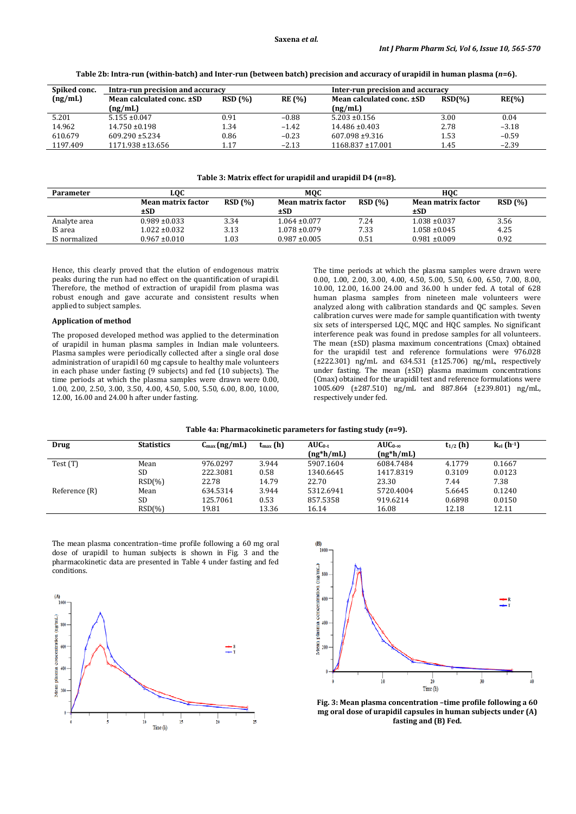| Table 2b: Intra-run (within-batch) and Inter-run (between batch) precision and accuracy of urapidil in human plasma (n=6). |  |  |
|----------------------------------------------------------------------------------------------------------------------------|--|--|
|                                                                                                                            |  |  |

| Intra-run precision and accuracy |                                                                                                                            |               | Inter-run precision and accuracy |                    |          |  |
|----------------------------------|----------------------------------------------------------------------------------------------------------------------------|---------------|----------------------------------|--------------------|----------|--|
|                                  | RSD(%)                                                                                                                     | <b>RE</b> (%) | Mean calculated conc. ±SD        | RSD <sub>(%)</sub> | $RE(\%)$ |  |
|                                  |                                                                                                                            |               | (ng/mL)                          |                    |          |  |
|                                  | 0.91                                                                                                                       | $-0.88$       | $5.203 \pm 0.156$                | 3.00               | 0.04     |  |
|                                  | 1.34                                                                                                                       | $-1.42$       | $14.486 \pm 0.403$               | 2.78               | $-3.18$  |  |
|                                  | 0.86                                                                                                                       | $-0.23$       | $607.098 \pm 9.316$              | 1.53               | $-0.59$  |  |
|                                  | 1.17                                                                                                                       | $-2.13$       | $1168.837 \pm 17.001$            | 1.45               | $-2.39$  |  |
|                                  | Mean calculated conc. ±SD<br>(ng/mL)<br>$5.155 \pm 0.047$<br>$14.750 \pm 0.198$<br>$609.290 \pm 5.234$<br>1171.938 ±13.656 |               |                                  |                    |          |  |

#### **Table 3: Matrix effect for urapidil and urapidil D4 (***n***=8).**

| Parameter     | LOC                              |        | <b>MQC</b>                |        |                                  | HOC    |  |
|---------------|----------------------------------|--------|---------------------------|--------|----------------------------------|--------|--|
|               | <b>Mean matrix factor</b><br>±SD | RSD(%) | Mean matrix factor<br>±SD | RSD(%) | <b>Mean matrix factor</b><br>±SD | RSD(%) |  |
| Analyte area  | $0.989 \pm 0.033$                | 3.34   | $1.064 \pm 0.077$         | 7.24   | $1.038 \pm 0.037$                | 3.56   |  |
| IS area       | 1.022 ±0.032                     | 3.13   | $1.078 \pm 0.079$         | 7.33   | $1.058 \pm 0.045$                | 4.25   |  |
| IS normalized | $0.967 \pm 0.010$                | 1.03   | $0.987 \pm 0.005$         | 0.51   | $0.981 \pm 0.009$                | 0.92   |  |

Hence, this clearly proved that the elution of endogenous matrix peaks during the run had no effect on the quantification of urapidil. Therefore, the method of extraction of urapidil from plasma was robust enough and gave accurate and consistent results when applied to subject samples.

#### **Application of method**

The proposed developed method was applied to the determination of urapidil in human plasma samples in Indian male volunteers. Plasma samples were periodically collected after a single oral dose administration of urapidil 60 mg capsule to healthy male volunteers in each phase under fasting (9 subjects) and fed (10 subjects). The time periods at which the plasma samples were drawn were 0.00, 1.00, 2.00, 2.50, 3.00, 3.50, 4.00, 4.50, 5.00, 5.50, 6.00, 8.00, 10.00, 12.00, 16.00 and 24.00 h after under fasting.

The time periods at which the plasma samples were drawn were 0.00, 1.00, 2.00, 3.00, 4.00, 4.50, 5.00, 5.50, 6.00, 6.50, 7.00, 8.00, 10.00, 12.00, 16.00 24.00 and 36.00 h under fed. A total of 628 human plasma samples from nineteen male volunteers were analyzed along with calibration standards and QC samples. Seven calibration curves were made for sample quantification with twenty six sets of interspersed LQC, MQC and HQC samples. No significant interference peak was found in predose samples for all volunteers. The mean (±SD) plasma maximum concentrations (Cmax) obtained for the urapidil test and reference formulations were 976.028 (±222.301) ng/mL and 634.531 (±125.706) ng/mL, respectively under fasting. The mean (±SD) plasma maximum concentrations (Cmax) obtained for the urapidil test and reference formulations were 1005.609 (±287.510) ng/mL and 887.864 (±239.801) ng/mL, respectively under fed.

| Table 4a: Pharmacokinetic parameters for fasting study (n=9). |  |  |  |
|---------------------------------------------------------------|--|--|--|
|---------------------------------------------------------------|--|--|--|

| Drug          | <b>Statistics</b> | $C_{\text{max}}(ng/mL)$ | $t_{\text{max}}(h)$ | $AUC_{0-t}$<br>$(ng*h/mL)$ | $AUC_{0-\infty}$<br>$(ng*h/mL)$ | $t_{1/2}$ (h) | $k_{el}$ (h <sup>-1</sup> ) |
|---------------|-------------------|-------------------------|---------------------|----------------------------|---------------------------------|---------------|-----------------------------|
| Test (T)      | Mean              | 976.0297                | 3.944               | 5907.1604                  | 6084.7484                       | 4.1779        | 0.1667                      |
|               | SD.               | 222.3081                | 0.58                | 1340.6645                  | 1417.8319                       | 0.3109        | 0.0123                      |
|               | $RSD(\%)$         | 22.78                   | 14.79               | 22.70                      | 23.30                           | 7.44          | 7.38                        |
| Reference (R) | Mean              | 634.5314                | 3.944               | 5312.6941                  | 5720.4004                       | 5.6645        | 0.1240                      |
|               | SD.               | 125.7061                | 0.53                | 857.5358                   | 919.6214                        | 0.6898        | 0.0150                      |
|               | $RSD(\%)$         | 19.81                   | 13.36               | 16.14                      | 16.08                           | 12.18         | 12.11                       |

The mean plasma concentration–time profile following a 60 mg oral dose of urapidil to human subjects is shown in Fig. 3 and the pharmacokinetic data are presented in Table 4 under fasting and fed conditions.





**Fig. 3: Mean plasma concentration –time profile following a 60 mg oral dose of urapidil capsules in human subjects under (A) fasting and (B) Fed.**